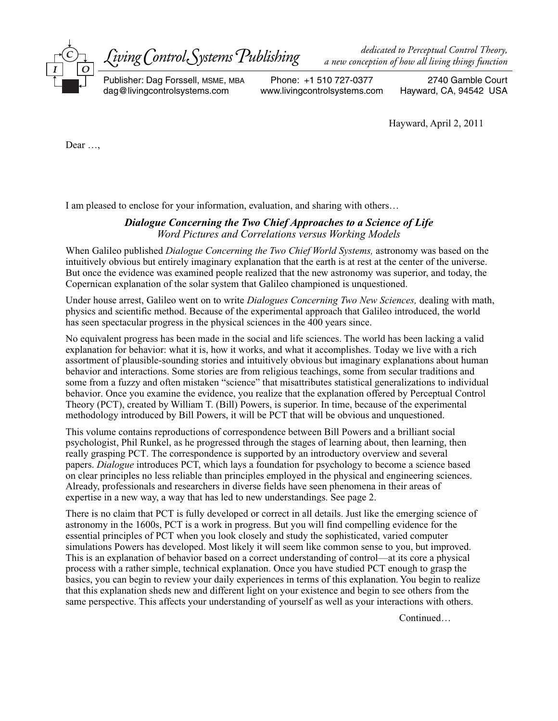

*a new conception of how all living things function*

Publisher: Dag Forssell, MSME, MBA dag@livingcontrolsystems.com

Phone: +1 510 727-0377 www.livingcontrolsystems.com

2740 Gamble Court Hayward, CA, 94542 USA

Hayward, April 2, 2011

Dear …,

I am pleased to enclose for your information, evaluation, and sharing with others…

# *Dialogue Concerning the Two Chief Approaches to a Science of Life Word Pictures and Correlations versus Working Models*

When Galileo published *Dialogue Concerning the Two Chief World Systems,* astronomy was based on the intuitively obvious but entirely imaginary explanation that the earth is at rest at the center of the universe. But once the evidence was examined people realized that the new astronomy was superior, and today, the Copernican explanation of the solar system that Galileo championed is unquestioned.

Under house arrest, Galileo went on to write *Dialogues Concerning Two New Sciences,* dealing with math, physics and scientific method. Because of the experimental approach that Galileo introduced, the world has seen spectacular progress in the physical sciences in the 400 years since.

No equivalent progress has been made in the social and life sciences. The world has been lacking a valid explanation for behavior: what it is, how it works, and what it accomplishes. Today we live with a rich assortment of plausible-sounding stories and intuitively obvious but imaginary explanations about human behavior and interactions. Some stories are from religious teachings, some from secular traditions and some from a fuzzy and often mistaken "science" that misattributes statistical generalizations to individual behavior. Once you examine the evidence, you realize that the explanation offered by Perceptual Control Theory (PCT), created by William T. (Bill) Powers, is superior. In time, because of the experimental methodology introduced by Bill Powers, it will be PCT that will be obvious and unquestioned.

This volume contains reproductions of correspondence between Bill Powers and a brilliant social psychologist, Phil Runkel, as he progressed through the stages of learning about, then learning, then really grasping PCT. The correspondence is supported by an introductory overview and several papers. *Dialogue* introduces PCT, which lays a foundation for psychology to become a science based on clear principles no less reliable than principles employed in the physical and engineering sciences. Already, professionals and researchers in diverse fields have seen phenomena in their areas of expertise in a new way, a way that has led to new understandings. See page 2.

There is no claim that PCT is fully developed or correct in all details. Just like the emerging science of astronomy in the 1600s, PCT is a work in progress. But you will find compelling evidence for the essential principles of PCT when you look closely and study the sophisticated, varied computer simulations Powers has developed. Most likely it will seem like common sense to you, but improved. This is an explanation of behavior based on a correct understanding of control—at its core a physical process with a rather simple, technical explanation. Once you have studied PCT enough to grasp the basics, you can begin to review your daily experiences in terms of this explanation. You begin to realize that this explanation sheds new and different light on your existence and begin to see others from the same perspective. This affects your understanding of yourself as well as your interactions with others.

Continued…